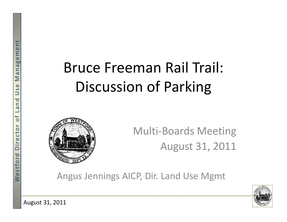# nagemen<br>Englished Bruce Freeman Rail Trail: Discussion of Parking



‐Boards Meeting August 31, 2011

gus Jennings AICP, Dir. Land Use Mgmt



August 31, 2011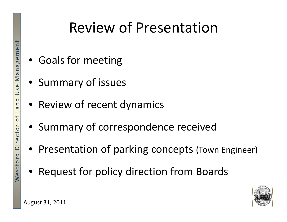## Review of Presentation

- Goals for meeting
- Summary of issues
- $\left| \frac{E}{\sigma} \right|$  Review of recent dynamics
	- Summary of correspondence received
	- Presentation of parking concepts (Town Engineer)
	- $\bullet$ Request for policy direction from Boards

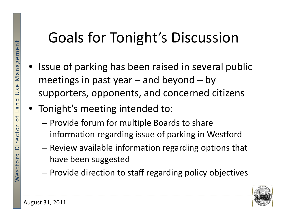#### tGoals for Tonight 's Discussion

- $\frac{1}{n}$  Issue of parking has been raised in several public<br> $\frac{1}{n}$  Issue of parking has been raised in several public<br>meetings in past year and beyond by  $\begin{bmatrix} 1 & 1 & 1 & 1 \\ \frac{1}{2} & 1 & 1 & 1 \\ \frac{2}{3} & 1 & 1 & 1 \\ 0 & 0 & 0 & 0 \\ 0 & 0 & 0 & 0 \\ 0 & 0 & 0 & 0 \\ 0 & 0 & 0 & 0 \\ 0 & 0 & 0 & 0 \\ 0 & 0 & 0 & 0 \\ 0 & 0 & 0 & 0 \\ 0 & 0 & 0 & 0 \\ 0 & 0 & 0 & 0 \\ 0 & 0 & 0 & 0 \\ 0 & 0 & 0 & 0 \\ 0 & 0 & 0 & 0 \\ 0 & 0 & 0 & 0 \\ 0 & 0 & 0 & 0 \\$ 
	- Tonight's meeting intended to:
		- Provide forum for multiple Boards to share information regarding issue of parking in Westford
		- Review available information regarding options that
- $\begin{bmatrix} 1 & 1 \ 1 & 1 \ 2 & 3 \ 3 & 4 \end{bmatrix}$  Provide direction to s – $-$  Provide direction to staff regarding policy objectives

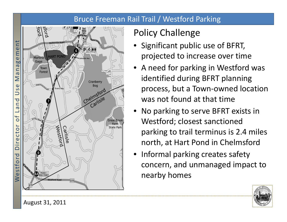#### Bruce Freeman Rail Trail / Westford Parking



#### Policy Challenge

- projected to increase over time
- •A need for parking in Westford was identified during BFRT planning process, but a Town ‐owned location t found at that time
- • No parking to serve BFRT exists in Westford; closest sanctioned parking to trail terminus is 2.4 miles north, at Hart Pond in Chelmsford
- Informal parking creates safety concern, and unmanaged impact to nearby homes



August 31, 2011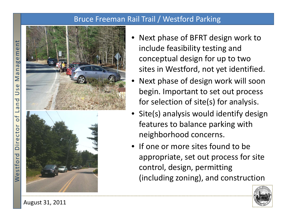#### Bruce Freeman Rail Trail / Westford Parking



- •• Next phase of BFRT design work to include feasibility testing and conceptual design for up to two sites in Westford, not yet identified
- • Next phase of design work will soon begin. Important to set out process
- •**•** Site(s) analysis would identify design features to balance parking with
- •Mesophopriate, set out process for site<br>  $\begin{array}{r} \text{g} \\ \text{h} \\ \text{h} \\ \text{h} \\ \text{i} \end{array}$  (including zoning), and construction



August 31, 2011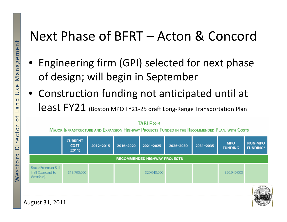#### Next Phase of BFRT – Acton & Concord

- Engineering firm (GPI) selected for next phase of design; will begin in September
- Construction funding not anticipated until at  $\overline{\textsf{least}}$   $\textsf{FY21}$  (Boston MPO FY21-25 draft Long-Range Transportation Plan

MAJOR INFRASTRUCTURE AND EXPANSION HIGHWAY PROJECTS FUNDED IN THE RECOMMENDED PLAN, WITH COSTS

|                                                             | <b>CURRENT</b><br><b>COST</b><br>(2011) | 2012-2015 | 2016-2020 | 2021-2025    | 2026-2030 | 2031-2035 | <b>MPO</b><br><b>FUNDING</b> | <b>NON-MPO</b><br><b>FUNDING*</b> |
|-------------------------------------------------------------|-----------------------------------------|-----------|-----------|--------------|-----------|-----------|------------------------------|-----------------------------------|
| <b>RECOMMENDED HIGHWAY PROJECTS</b>                         |                                         |           |           |              |           |           |                              |                                   |
| <b>Bruce Freeman Rail</b><br>Trail (Concord to<br>Westford) | \$18,700,000                            |           |           | \$29,940,000 |           |           | \$29,940,000                 |                                   |
| August 31, 2011                                             |                                         |           |           |              |           |           |                              |                                   |

**TABLE 8-3**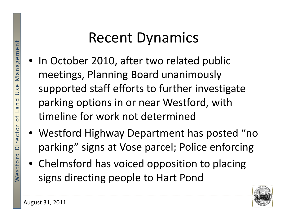- Recent Dynamics<br>
In October 2010, after two related<br>
<u>Ease</u><br>
meetings, Planning Board unanime • In October 2010, after two related public<br>meetings, Planning Board unanimously  $\frac{18}{20}$  supported staff efforts to further investigate parking options in or near Westford, with<br>
timeline for work not determined
	- Westford Highway Department has posted "no parking" signs at Vose parcel; Police enforcing
	- Chelmsford has voiced opposition to placing signs directing people to Hart Pond

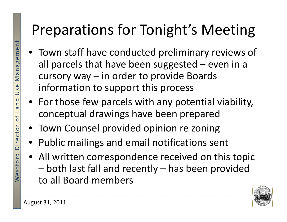## Preparations for Tonight's Meeting

- as a Town staff have conducted preliminary reviews of<br>all parcels that have been suggested even in a all parcels that have been suggested parcels that have been suggested – even in a cursory way – in order to provide Boards information to support this process
	- For those few parcels with any potential viability, conceptual drawings have been prepared
	- Town Counsel provided opinion re zoning
	- Public mailings and email notifications sent
	- All written correspondence received on this topic – both last fall and recently – has been provided to all Board members

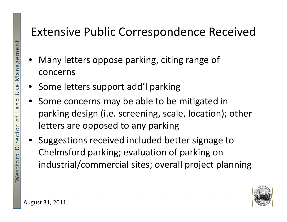#### Extensive Public Correspondence Received

- Many letters oppose parking, citing range of<br>concerns
- $\begin{bmatrix} 1 & 1 \\ 2 & 3 \\ 3 & 4 \end{bmatrix}$  Some let • Some letters support add'l parking
	- •**•** Some concerns may be able to be mitigated in parking design (i.e. screening, scale, location); other letters are opposed to any parking
	- Suggestions received included better signage to Chelmsford parking; evaluation of parking on industrial/commercial sites; overall project planning

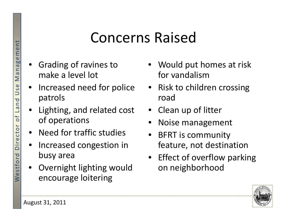### **Example 21 Concerns Raised**

- • Gradin g of ravines to make a level lot
- •• Increased need for police patrols
- $\begin{array}{c|c}\n\hline\n\frac{1}{6} & \frac{1}{6} \\
\hline\n\end{array}$   $\bullet$  Lighting, and related cost<br>
of operations of operations
	- Need for traffic studies
	- •**•** Increased congestion in b busy area
	- • Overnight lighting would encourage loitering
- Would put homes at risk for vandalism
- Risk to children crossing road
- Clean up of litter
- •Noise management
- BFRT is community feature, not destination
- Effect of overflow parking on neighborhood

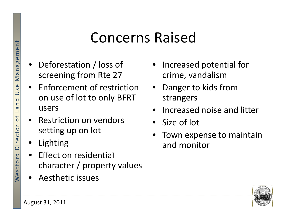### **Example 21 Concerns Raised**

- •• Deforestation / loss of screening from Rte 27
- Enforcement of restrictionon use of lot to only BFRT  $\begin{array}{c|c}\n\hline\n\vdots \\
\hline\n\vdots \\
\hline\n\vdots \\
\hline\n\vdots \\
\hline\n\vdots \\
\hline\n\end{array}$  e Restriction on vendors
	- Restriction on vendors setting up on lot
	- •Lighting
	- Effect on residential Effect on residential<br>character / property values
	- Aesthetic issues
- Increased potential for p crime, vandalism
- • Danger to kids from strangers
- •**•** Increased noise and litter
- •• Size of lot
- •**•** Town expense to maintain and monitor

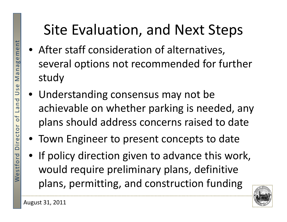## Site Evaluation, and Next Steps

- After staff consideration of alternatives, several o ptions not recommended for further p study
- Understanding consensus may not be  $\begin{bmatrix} 18 \\ 2 \\ 3 \\ 5 \end{bmatrix}$  • Understanding consensus may not be<br>achievable on whether parking is needed, any<br>plans should address concerns raised to date
	- Town Engineer to present concepts to date
	- If policy direction given to advance this work, would require preliminary plans, definitive lplans, permitting, and construction funding

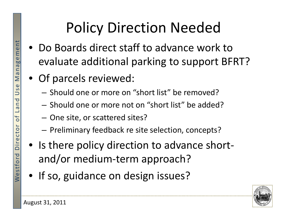## Policy Direction Needed

- Do Boards direct staff to advance work to evaluate additional parking to support BFRT?
- Of parcels reviewed:
	- Should one or more on "short list" be removed?
- $\begin{bmatrix} \frac{1}{6} \\ \frac{1}{6} \end{bmatrix}$  Should one or more not on "short list" be added?<br>- One site, or scattered sites?
	-
	- – $-$  Preliminary feedback re site selection, concepts?
	- Is there policy direction to advance short‐
- $\begin{bmatrix} 1 & 0 & 0 \\ 0 & 0 & 0 \\ 0 & 0 & 0 \end{bmatrix}$  If so, guidance on design issues?